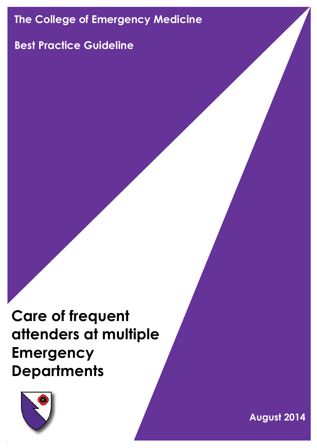# **The College of Emergency Medicine**

# **Best Practice Guideline**

**Care of frequent attenders at multiple Emergency Departments**



**August 2014**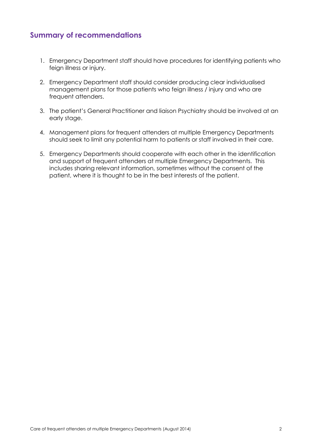## **Summary of recommendations**

- 1. Emergency Department staff should have procedures for identifying patients who feign illness or injury.
- 2. Emergency Department staff should consider producing clear individualised management plans for those patients who feign illness / injury and who are frequent attenders.
- 3. The patient's General Practitioner and liaison Psychiatry should be involved at an early stage.
- 4. Management plans for frequent attenders at multiple Emergency Departments should seek to limit any potential harm to patients or staff involved in their care.
- 5. Emergency Departments should cooperate with each other in the identification and support of frequent attenders at multiple Emergency Departments. This includes sharing relevant information, sometimes without the consent of the patient, where it is thought to be in the best interests of the patient.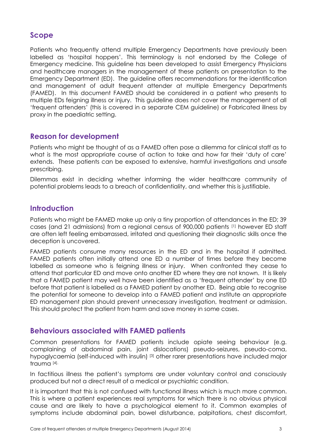# **Scope**

Patients who frequently attend multiple Emergency Departments have previously been labelled as 'hospital hoppers'. This terminology is not endorsed by the College of Emergency medicine. This guideline has been developed to assist Emergency Physicians and healthcare managers in the management of these patients on presentation to the Emergency Department (ED). The guideline offers recommendations for the identification and management of adult frequent attender at multiple Emergency Departments (FAMED). In this document FAMED should be considered in a patient who presents to multiple EDs feigning illness or injury. This guideline does not cover the management of all 'frequent attenders' (this is covered in a separate CEM guideline) or Fabricated illness by proxy in the paediatric setting.

## **Reason for development**

Patients who might be thought of as a FAMED often pose a dilemma for clinical staff as to what is the most appropriate course of action to take and how far their 'duty of care' extends. These patients can be exposed to extensive, harmful investigations and unsafe prescribing.

Dilemmas exist in deciding whether informing the wider healthcare community of potential problems leads to a breach of confidentiality, and whether this is justifiable.

## **Introduction**

Patients who might be FAMED make up only a tiny proportion of attendances in the ED; 39 cases (and 21 admissions) from a regional census of 900,000 patients [1] however ED staff are often left feeling embarrassed, irritated and questioning their diagnostic skills once the deception is uncovered.

FAMED patients consume many resources in the ED and in the hospital if admitted. FAMED patients often initially attend one ED a number of times before they become labelled as someone who is feigning illness or injury. When confronted they cease to attend that particular ED and move onto another ED where they are not known. It is likely that a FAMED patient may well have been identified as a 'frequent attender' by one ED before that patient is labelled as a FAMED patient by another ED. Being able to recognise the potential for someone to develop into a FAMED patient and institute an appropriate ED management plan should prevent unnecessary investigation, treatment or admission. This should protect the patient from harm and save money in some cases.

### **Behaviours associated with FAMED patients**

Common presentations for FAMED patients include opiate seeing behaviour (e.g. complaining of abdominal pain, joint dislocations) pseudo-seizures, pseudo-coma, hypoglycaemia (self-induced with insulin)<sup>[3]</sup> other rarer presentations have included major trauma [4].

In factitious illness the patient's symptoms are under voluntary control and consciously produced but not a direct result of a medical or psychiatric condition.

It is important that this is not confused with functional illness which is much more common. This is where a patient experiences real symptoms for which there is no obvious physical cause and are likely to have a psychological element to it. Common examples of symptoms include abdominal pain, bowel disturbance, palpitations, chest discomfort,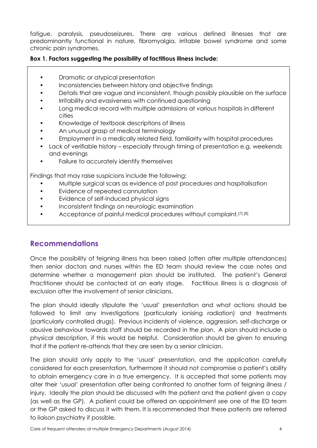fatigue, paralysis, pseudoseizures. There are various defined illnesses that are predominantly functional in nature, fibromyalgia, irritable bowel syndrome and some chronic pain syndromes.

#### **Box 1. Factors suggesting the possibility of factitious illness include:**

- Dramatic or atypical presentation
- Inconsistencies between history and objective findings
- Details that are vague and inconsistent, though possibly plausible on the surface
- Irritability and evasiveness with continued questioning
- Long medical record with multiple admissions at various hospitals in different cities
- Knowledge of textbook descriptions of illness
- An unusual grasp of medical terminology
- Employment in a medically related field, familiarity with hospital procedures
- Lack of verifiable history especially through timing of presentation e.g. weekends and evenings
- Failure to accurately identify themselves

Findings that may raise suspicions include the following:

- Multiple surgical scars as evidence of past procedures and hospitalisation
- Evidence of repeated cannulation
- Evidence of self-induced physical signs
- Inconsistent findings on neurologic examination
- Acceptance of painful medical procedures without complaint.<sup>[7],[8]</sup>

# **Recommendations**

Once the possibility of feigning illness has been raised (often after multiple attendances) then senior doctors and nurses within the ED team should review the case notes and determine whether a management plan should be instituted. The patient's General Practitioner should be contacted at an early stage. Factitious illness is a diagnosis of exclusion after the involvement of senior clinicians.

The plan should ideally stipulate the 'usual' presentation and what actions should be followed to limit any investigations (particularly ionising radiation) and treatments (particularly controlled drugs). Previous incidents of violence, aggression, self-discharge or abusive behaviour towards staff should be recorded in the plan. A plan should include a physical description, if this would be helpful. Consideration should be given to ensuring that if the patient re-attends that they are seen by a senior clinician.

The plan should only apply to the 'usual' presentation, and the application carefully considered for each presentation, furthermore it should not compromise a patient's ability to obtain emergency care in a true emergency. It is accepted that some patients may alter their 'usual' presentation after being confronted to another form of feigning illness / injury. Ideally the plan should be discussed with the patient and the patient given a copy (as well as the GP). A patient could be offered an appointment see one of the ED team or the GP asked to discuss it with them. It is recommended that these patients are referred to liaison psychiatry if possible.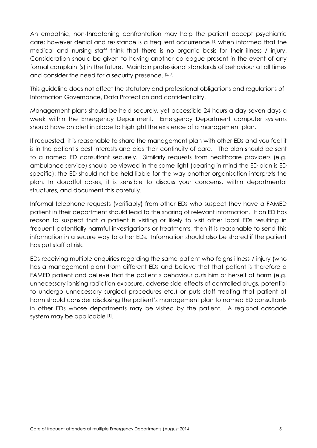An empathic, non-threatening confrontation may help the patient accept psychiatric care; however denial and resistance is a frequent occurrence [6] when informed that the medical and nursing staff think that there is no organic basis for their illness / injury. Consideration should be given to having another colleague present in the event of any formal complaint(s) in the future. Maintain professional standards of behaviour at all times and consider the need for a security presence. [5, 7]

This guideline does not affect the statutory and professional obligations and regulations of Information Governance, Data Protection and confidentiality.

Management plans should be held securely, yet accessible 24 hours a day seven days a week within the Emergency Department. Emergency Department computer systems should have an alert in place to highlight the existence of a management plan.

If requested, it is reasonable to share the management plan with other EDs and you feel it is in the patient's best interests and aids their continuity of care. The plan should be sent to a named ED consultant securely. Similarly requests from healthcare providers (e.g. ambulance service) should be viewed in the same light (bearing in mind the ED plan is ED specific): the ED should not be held liable for the way another organisation interprets the plan. In doubtful cases, it is sensible to discuss your concerns, within departmental structures, and document this carefully.

Informal telephone requests (verifiably) from other EDs who suspect they have a FAMED patient in their department should lead to the sharing of relevant information. If an ED has reason to suspect that a patient is visiting or likely to visit other local EDs resulting in frequent potentially harmful investigations or treatments, then it is reasonable to send this information in a secure way to other EDs. Information should also be shared if the patient has put staff at risk.

EDs receiving multiple enquiries regarding the same patient who feigns illness / injury (who has a management plan) from different EDs and believe that that patient is therefore a FAMED patient and believe that the patient's behaviour puts him or herself at harm (e.g. unnecessary ionising radiation exposure, adverse side-effects of controlled drugs, potential to undergo unnecessary surgical procedures etc.) or puts staff treating that patient at harm should consider disclosing the patient's management plan to named ED consultants in other EDs whose departments may be visited by the patient. A regional cascade system may be applicable [1].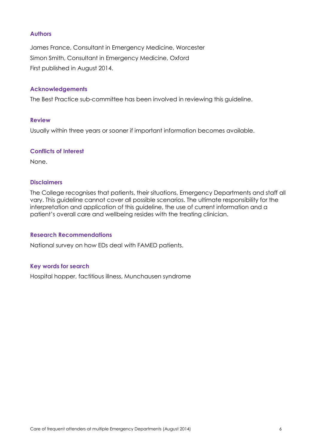#### **Authors**

James France, Consultant in Emergency Medicine, Worcester Simon Smith, Consultant in Emergency Medicine, Oxford First published in August 2014.

#### **Acknowledgements**

The Best Practice sub-committee has been involved in reviewing this guideline.

#### **Review**

Usually within three years or sooner if important information becomes available.

#### **Conflicts of Interest**

None.

#### **Disclaimers**

The College recognises that patients, their situations, Emergency Departments and staff all vary. This guideline cannot cover all possible scenarios. The ultimate responsibility for the interpretation and application of this guideline, the use of current information and a patient's overall care and wellbeing resides with the treating clinician.

#### **Research Recommendations**

National survey on how EDs deal with FAMED patients.

#### **Key words for search**

Hospital hopper, factitious illness, Munchausen syndrome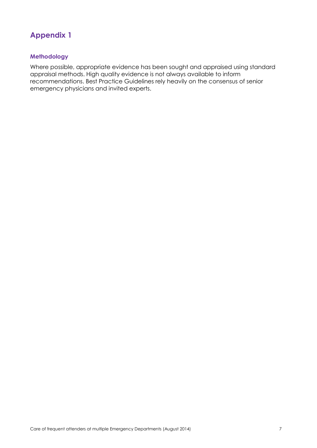# **Appendix 1**

#### **Methodology**

Where possible, appropriate evidence has been sought and appraised using standard appraisal methods. High quality evidence is not always available to inform recommendations. Best Practice Guidelines rely heavily on the consensus of senior emergency physicians and invited experts.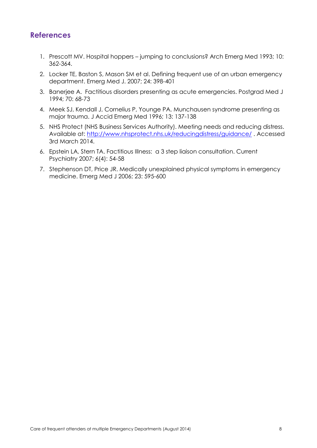# **References**

- 1. Prescott MV. Hospital hoppers jumping to conclusions? Arch Emerg Med 1993; 10: 362-364.
- 2. Locker TE, Baston S, Mason SM et al. Defining frequent use of an urban emergency department. Emerg Med J. 2007; 24: 398-401
- 3. Banerjee A. Factitious disorders presenting as acute emergencies. Postgrad Med J 1994; 70: 68-73
- 4. Meek SJ, Kendall J, Cornelius P, Younge PA. Munchausen syndrome presenting as major trauma. J Accid Emerg Med 1996; 13: 137-138
- 5. NHS Protect (NHS Business Services Authority). Meeting needs and reducing distress. Available at:<http://www.nhsprotect.nhs.uk/reducingdistress/guidance/> . Accessed 3rd March 2014.
- 6. Epstein LA, Stern TA. Factitious Illness: a 3 step liaison consultation. Current Psychiatry 2007; 6(4): 54-58
- 7. Stephenson DT, Price JR. Medically unexplained physical symptoms in emergency medicine. Emerg Med J 2006; 23: 595-600